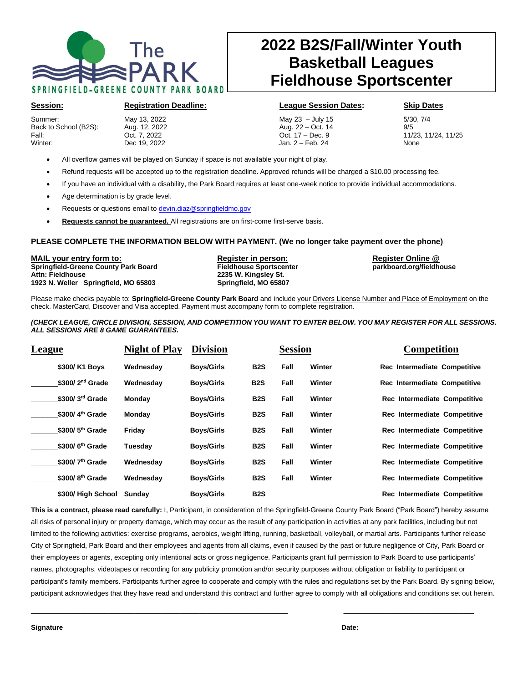

# **2022 B2S/Fall/Winter Youth Basketball Leagues Fieldhouse Sportscenter**

Summer: May 13, 2022 May 23 – July 15 5/30, 7/4 Back to School (B2S): Aug. 12, 2022 Aug. 22 – Oct. 14<br>
Fall: Cot. 7, 2022 Cot. 17 – Dec. 9 Fall: Oct. 7, 2022 Oct. 17 – Dec. 9 11/23, 11/24, 11/25 Winter: Dec 19, 2022 Jan. 2 – Feb. 24 None

### **Session: Registration Deadline: League Session Dates: Skip Dates**

- All overflow games will be played on Sunday if space is not available your night of play.
- Refund requests will be accepted up to the registration deadline. Approved refunds will be charged a \$10.00 processing fee.

 $\lfloor$ 

- If you have an individual with a disability, the Park Board requires at least one-week notice to provide individual accommodations.
- Age determination is by grade level.
- Requests or questions email to [devin.diaz@springfieldmo.gov](mailto:devin.diaz@springfieldmo.gov)
- **Requests cannot be guaranteed.** All registrations are on first-come first-serve basis.

### **PLEASE COMPLETE THE INFORMATION BELOW WITH PAYMENT. (We no longer take payment over the phone)**

**MAIL your entry form to: Register in person: Register Online @ Springfield-Greene County Park Board Attn: Fieldhouse 2235 W. Kingsley St. 1923 N. Weller Springfield, MO 65803 Springfield, MO 65807**

Please make checks payable to: **Springfield-Greene County Park Board** and include your Drivers License Number and Place of Employment on the check. MasterCard, Discover and Visa accepted. Payment must accompany form to complete registration.

### *(CHECK LEAGUE, CIRCLE DIVISION, SESSION, AND COMPETITION YOU WANT TO ENTER BELOW. YOU MAY REGISTER FOR ALL SESSIONS. ALL SESSIONS ARE 8 GAME GUARANTEES.*

| League                      | <b>Night of Play</b> | <b>Division</b>   |                  | <b>Session</b> |        | <b>Competition</b>           |
|-----------------------------|----------------------|-------------------|------------------|----------------|--------|------------------------------|
| \$300/ K1 Boys              | Wednesdav            | <b>Boys/Girls</b> | B <sub>2</sub> S | Fall           | Winter | Rec Intermediate Competitive |
| $$300/2nd$ Grade            | Wednesdav            | <b>Boys/Girls</b> | B <sub>2</sub> S | Fall           | Winter | Rec Intermediate Competitive |
| \$300/3rd Grade             | Monday               | <b>Boys/Girls</b> | B <sub>2</sub> S | Fall           | Winter | Rec Intermediate Competitive |
| \$300/4 <sup>th</sup> Grade | Monday               | <b>Boys/Girls</b> | B <sub>2</sub> S | Fall           | Winter | Rec Intermediate Competitive |
| $$300/5th$ Grade            | Friday               | <b>Boys/Girls</b> | B <sub>2</sub> S | Fall           | Winter | Rec Intermediate Competitive |
| $$300/6th$ Grade            | Tuesday              | <b>Boys/Girls</b> | B <sub>2</sub> S | Fall           | Winter | Rec Intermediate Competitive |
| \$300/7 <sup>th</sup> Grade | Wednesday            | <b>Boys/Girls</b> | B <sub>2</sub> S | Fall           | Winter | Rec Intermediate Competitive |
| \$300/8 <sup>th</sup> Grade | Wednesdav            | <b>Boys/Girls</b> | B <sub>2</sub> S | Fall           | Winter | Rec Intermediate Competitive |
| \$300/ High School          | Sundav               | <b>Boys/Girls</b> | <b>B2S</b>       |                |        | Rec Intermediate Competitive |

**This is a contract, please read carefully:** I, Participant, in consideration of the Springfield-Greene County Park Board ("Park Board") hereby assume all risks of personal injury or property damage, which may occur as the result of any participation in activities at any park facilities, including but not limited to the following activities: exercise programs, aerobics, weight lifting, running, basketball, volleyball, or martial arts. Participants further release City of Springfield, Park Board and their employees and agents from all claims, even if caused by the past or future negligence of City, Park Board or their employees or agents, excepting only intentional acts or gross negligence. Participants grant full permission to Park Board to use participants' names, photographs, videotapes or recording for any publicity promotion and/or security purposes without obligation or liability to participant or participant's family members. Participants further agree to cooperate and comply with the rules and regulations set by the Park Board. By signing below, participant acknowledges that they have read and understand this contract and further agree to comply with all obligations and conditions set out herein.

\_\_\_\_\_\_\_\_\_\_\_\_\_\_\_\_\_\_\_\_\_\_\_\_\_\_\_\_\_\_\_\_\_\_\_\_\_\_\_\_\_\_\_\_\_\_\_\_\_\_\_\_\_\_\_\_\_\_\_\_\_\_\_\_\_\_\_ \_\_\_\_\_\_\_\_\_\_\_\_\_\_\_\_\_\_\_\_\_\_\_\_\_\_\_\_\_\_\_\_\_\_